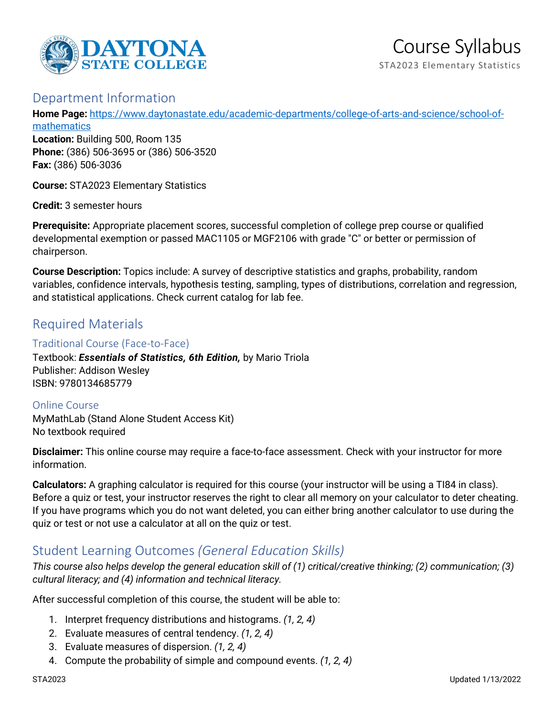

## Department Information

**Home Page:** [https://www.daytonastate.edu/academic-departments/college-of-arts-and-science/school-of](https://www.daytonastate.edu/academic-departments/college-of-arts-and-science/school-of-mathematics)[mathematics](https://www.daytonastate.edu/academic-departments/college-of-arts-and-science/school-of-mathematics)

**Location:** Building 500, Room 135 **Phone:** (386) 506-3695 or (386) 506-3520 **Fax:** (386) 506-3036

**Course:** STA2023 Elementary Statistics

**Credit:** 3 semester hours

**Prerequisite:** Appropriate placement scores, successful completion of college prep course or qualified developmental exemption or passed MAC1105 or MGF2106 with grade "C" or better or permission of chairperson.

**Course Description:** Topics include: A survey of descriptive statistics and graphs, probability, random variables, confidence intervals, hypothesis testing, sampling, types of distributions, correlation and regression, and statistical applications. Check current catalog for lab fee.

# Required Materials

#### Traditional Course (Face-to-Face)

Textbook: *Essentials of Statistics, 6th Edition,* by Mario Triola Publisher: Addison Wesley ISBN: 9780134685779

Online Course MyMathLab (Stand Alone Student Access Kit) No textbook required

**Disclaimer:** This online course may require a face-to-face assessment. Check with your instructor for more information.

**Calculators:** A graphing calculator is required for this course (your instructor will be using a TI84 in class). Before a quiz or test, your instructor reserves the right to clear all memory on your calculator to deter cheating. If you have programs which you do not want deleted, you can either bring another calculator to use during the quiz or test or not use a calculator at all on the quiz or test.

# Student Learning Outcomes *(General Education Skills)*

*This course also helps develop the general education skill of (1) critical/creative thinking; (2) communication; (3) cultural literacy; and (4) information and technical literacy.*

After successful completion of this course, the student will be able to:

- 1. Interpret frequency distributions and histograms. *(1, 2, 4)*
- 2. Evaluate measures of central tendency. *(1, 2, 4)*
- 3. Evaluate measures of dispersion. *(1, 2, 4)*
- 4. Compute the probability of simple and compound events. *(1, 2, 4)*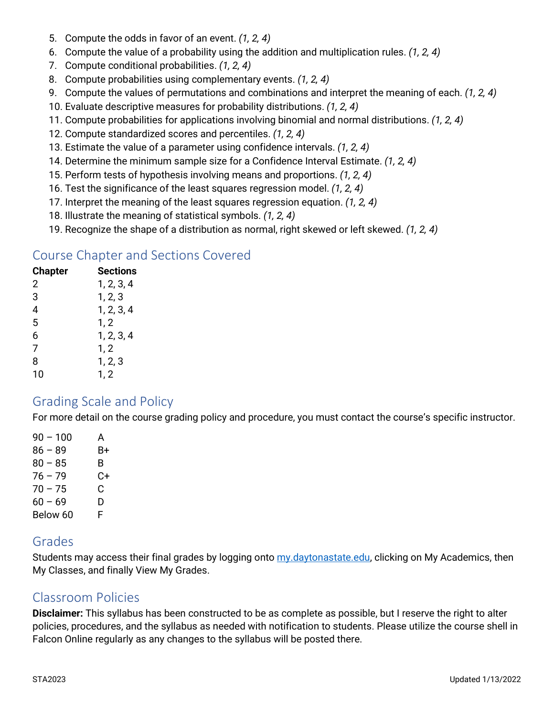- 5. Compute the odds in favor of an event. *(1, 2, 4)*
- 6. Compute the value of a probability using the addition and multiplication rules. *(1, 2, 4)*
- 7. Compute conditional probabilities. *(1, 2, 4)*
- 8. Compute probabilities using complementary events. *(1, 2, 4)*
- 9. Compute the values of permutations and combinations and interpret the meaning of each. *(1, 2, 4)*
- 10. Evaluate descriptive measures for probability distributions. *(1, 2, 4)*
- 11. Compute probabilities for applications involving binomial and normal distributions. *(1, 2, 4)*
- 12. Compute standardized scores and percentiles. *(1, 2, 4)*
- 13. Estimate the value of a parameter using confidence intervals. *(1, 2, 4)*
- 14. Determine the minimum sample size for a Confidence Interval Estimate. *(1, 2, 4)*
- 15. Perform tests of hypothesis involving means and proportions. *(1, 2, 4)*
- 16. Test the significance of the least squares regression model. *(1, 2, 4)*
- 17. Interpret the meaning of the least squares regression equation. *(1, 2, 4)*
- 18. Illustrate the meaning of statistical symbols. *(1, 2, 4)*
- 19. Recognize the shape of a distribution as normal, right skewed or left skewed. *(1, 2, 4)*

### Course Chapter and Sections Covered

| <b>Chapter</b> | <b>Sections</b> |
|----------------|-----------------|
| $\overline{2}$ | 1, 2, 3, 4      |
| 3              | 1, 2, 3         |
| 4              | 1, 2, 3, 4      |
| 5              | 1, 2            |
| 6              | 1, 2, 3, 4      |
| 7              | 1, 2            |
| 8              | 1, 2, 3         |
| 10             | 1, 2            |

### Grading Scale and Policy

For more detail on the course grading policy and procedure, you must contact the course's specific instructor.

 $90 - 100$  A  $86 - 89$  B+  $80 - 85$  B  $76 - 79$  C+  $70 - 75$  C  $60 - 69$  D Below 60 F

## Grades

Students may access their final grades by logging onto [my.daytonastate.edu,](https://my.daytonastate.edu/) clicking on My Academics, then My Classes, and finally View My Grades.

### Classroom Policies

**Disclaimer:** This syllabus has been constructed to be as complete as possible, but I reserve the right to alter policies, procedures, and the syllabus as needed with notification to students. Please utilize the course shell in Falcon Online regularly as any changes to the syllabus will be posted there.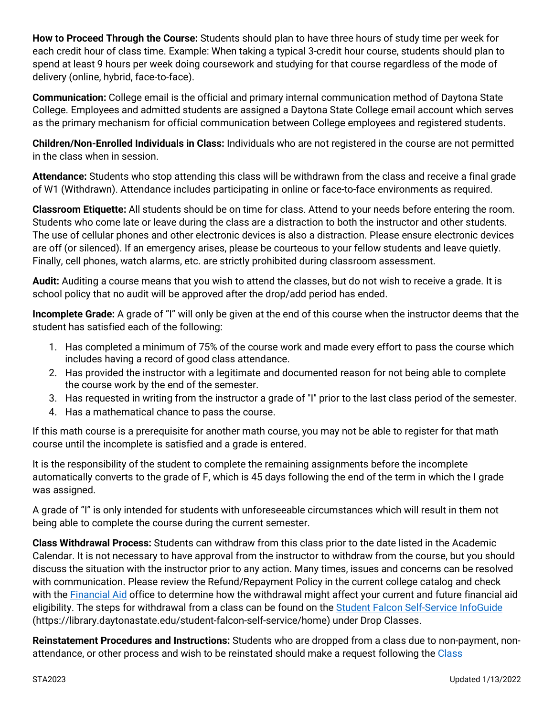**How to Proceed Through the Course:** Students should plan to have three hours of study time per week for each credit hour of class time. Example: When taking a typical 3-credit hour course, students should plan to spend at least 9 hours per week doing coursework and studying for that course regardless of the mode of delivery (online, hybrid, face-to-face).

**Communication:** College email is the official and primary internal communication method of Daytona State College. Employees and admitted students are assigned a Daytona State College email account which serves as the primary mechanism for official communication between College employees and registered students.

**Children/Non-Enrolled Individuals in Class:** Individuals who are not registered in the course are not permitted in the class when in session.

**Attendance:** Students who stop attending this class will be withdrawn from the class and receive a final grade of W1 (Withdrawn). Attendance includes participating in online or face-to-face environments as required.

**Classroom Etiquette:** All students should be on time for class. Attend to your needs before entering the room. Students who come late or leave during the class are a distraction to both the instructor and other students. The use of cellular phones and other electronic devices is also a distraction. Please ensure electronic devices are off (or silenced). If an emergency arises, please be courteous to your fellow students and leave quietly. Finally, cell phones, watch alarms, etc. are strictly prohibited during classroom assessment.

**Audit:** Auditing a course means that you wish to attend the classes, but do not wish to receive a grade. It is school policy that no audit will be approved after the drop/add period has ended.

**Incomplete Grade:** A grade of "I" will only be given at the end of this course when the instructor deems that the student has satisfied each of the following:

- 1. Has completed a minimum of 75% of the course work and made every effort to pass the course which includes having a record of good class attendance.
- 2. Has provided the instructor with a legitimate and documented reason for not being able to complete the course work by the end of the semester.
- 3. Has requested in writing from the instructor a grade of "I" prior to the last class period of the semester.
- 4. Has a mathematical chance to pass the course.

If this math course is a prerequisite for another math course, you may not be able to register for that math course until the incomplete is satisfied and a grade is entered.

It is the responsibility of the student to complete the remaining assignments before the incomplete automatically converts to the grade of F, which is 45 days following the end of the term in which the I grade was assigned.

A grade of "I" is only intended for students with unforeseeable circumstances which will result in them not being able to complete the course during the current semester.

**Class Withdrawal Process:** Students can withdraw from this class prior to the date listed in the Academic Calendar. It is not necessary to have approval from the instructor to withdraw from the course, but you should discuss the situation with the instructor prior to any action. Many times, issues and concerns can be resolved with communication. Please review the Refund/Repayment Policy in the current college catalog and check with the [Financial Aid](https://www.daytonastate.edu/financial-aid) office to determine how the withdrawal might affect your current and future financial aid eligibility. The steps for withdrawal from a class can be found on the [Student Falcon Self-Service InfoGuide](https://library.daytonastate.edu/student-falcon-self-service/home) (https://library.daytonastate.edu/student-falcon-self-service/home) under Drop Classes.

**Reinstatement Procedures and Instructions:** Students who are dropped from a class due to non-payment, nonattendance, or other process and wish to be reinstated should make a request following the [Class](https://www.daytonastate.edu/enrollment-information/index.html)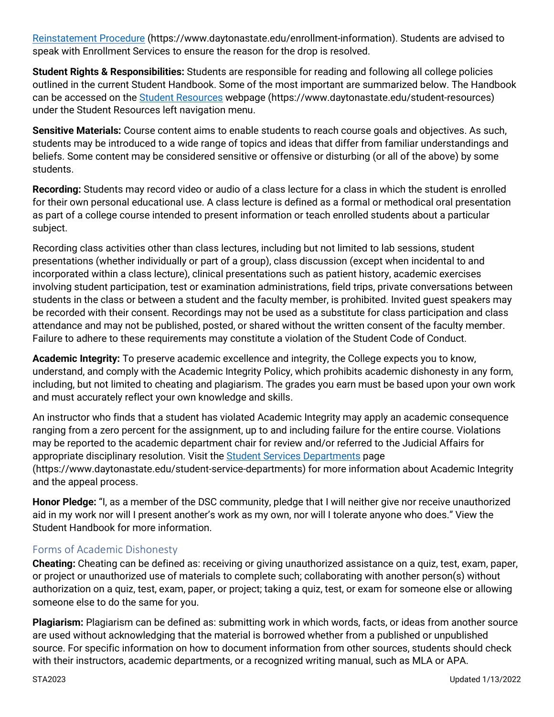[Reinstatement Procedure](https://www.daytonastate.edu/enrollment-information/index.html) (https://www.daytonastate.edu/enrollment-information). Students are advised to speak with Enrollment Services to ensure the reason for the drop is resolved.

**Student Rights & Responsibilities:** Students are responsible for reading and following all college policies outlined in the current Student Handbook. Some of the most important are summarized below. The Handbook can be accessed on the [Student Resources](https://www.daytonastate.edu/student-resources) webpage (https://www.daytonastate.edu/student-resources) under the Student Resources left navigation menu.

**Sensitive Materials:** Course content aims to enable students to reach course goals and objectives. As such, students may be introduced to a wide range of topics and ideas that differ from familiar understandings and beliefs. Some content may be considered sensitive or offensive or disturbing (or all of the above) by some students.

**Recording:** Students may record video or audio of a class lecture for a class in which the student is enrolled for their own personal educational use. A class lecture is defined as a formal or methodical oral presentation as part of a college course intended to present information or teach enrolled students about a particular subject.

Recording class activities other than class lectures, including but not limited to lab sessions, student presentations (whether individually or part of a group), class discussion (except when incidental to and incorporated within a class lecture), clinical presentations such as patient history, academic exercises involving student participation, test or examination administrations, field trips, private conversations between students in the class or between a student and the faculty member, is prohibited. Invited guest speakers may be recorded with their consent. Recordings may not be used as a substitute for class participation and class attendance and may not be published, posted, or shared without the written consent of the faculty member. Failure to adhere to these requirements may constitute a violation of the Student Code of Conduct.

**Academic Integrity:** To preserve academic excellence and integrity, the College expects you to know, understand, and comply with the Academic Integrity Policy, which prohibits academic dishonesty in any form, including, but not limited to cheating and plagiarism. The grades you earn must be based upon your own work and must accurately reflect your own knowledge and skills.

An instructor who finds that a student has violated Academic Integrity may apply an academic consequence ranging from a zero percent for the assignment, up to and including failure for the entire course. Violations may be reported to the academic department chair for review and/or referred to the Judicial Affairs for appropriate disciplinary resolution. Visit the [Student Services Departments](https://www.daytonastate.edu/student-service-departments) page (https://www.daytonastate.edu/student-service-departments) for more information about Academic Integrity and the appeal process.

**Honor Pledge:** "I, as a member of the DSC community, pledge that I will neither give nor receive unauthorized aid in my work nor will I present another's work as my own, nor will I tolerate anyone who does." View the Student Handbook for more information.

### Forms of Academic Dishonesty

**Cheating:** Cheating can be defined as: receiving or giving unauthorized assistance on a quiz, test, exam, paper, or project or unauthorized use of materials to complete such; collaborating with another person(s) without authorization on a quiz, test, exam, paper, or project; taking a quiz, test, or exam for someone else or allowing someone else to do the same for you.

**Plagiarism:** Plagiarism can be defined as: submitting work in which words, facts, or ideas from another source are used without acknowledging that the material is borrowed whether from a published or unpublished source. For specific information on how to document information from other sources, students should check with their instructors, academic departments, or a recognized writing manual, such as MLA or APA.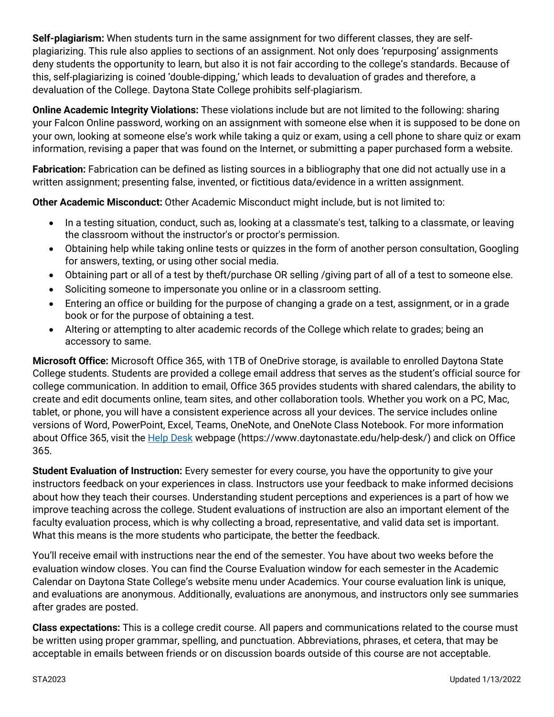**Self-plagiarism:** When students turn in the same assignment for two different classes, they are selfplagiarizing. This rule also applies to sections of an assignment. Not only does 'repurposing' assignments deny students the opportunity to learn, but also it is not fair according to the college's standards. Because of this, self-plagiarizing is coined 'double-dipping,' which leads to devaluation of grades and therefore, a devaluation of the College. Daytona State College prohibits self-plagiarism.

**Online Academic Integrity Violations:** These violations include but are not limited to the following: sharing your Falcon Online password, working on an assignment with someone else when it is supposed to be done on your own, looking at someone else's work while taking a quiz or exam, using a cell phone to share quiz or exam information, revising a paper that was found on the Internet, or submitting a paper purchased form a website.

**Fabrication:** Fabrication can be defined as listing sources in a bibliography that one did not actually use in a written assignment; presenting false, invented, or fictitious data/evidence in a written assignment.

**Other Academic Misconduct:** Other Academic Misconduct might include, but is not limited to:

- In a testing situation, conduct, such as, looking at a classmate's test, talking to a classmate, or leaving the classroom without the instructor's or proctor's permission.
- Obtaining help while taking online tests or quizzes in the form of another person consultation, Googling for answers, texting, or using other social media.
- Obtaining part or all of a test by theft/purchase OR selling /giving part of all of a test to someone else.
- Soliciting someone to impersonate you online or in a classroom setting.
- Entering an office or building for the purpose of changing a grade on a test, assignment, or in a grade book or for the purpose of obtaining a test.
- Altering or attempting to alter academic records of the College which relate to grades; being an accessory to same.

**Microsoft Office:** Microsoft Office 365, with 1TB of OneDrive storage, is available to enrolled Daytona State College students. Students are provided a college email address that serves as the student's official source for college communication. In addition to email, Office 365 provides students with shared calendars, the ability to create and edit documents online, team sites, and other collaboration tools. Whether you work on a PC, Mac, tablet, or phone, you will have a consistent experience across all your devices. The service includes online versions of Word, PowerPoint, Excel, Teams, OneNote, and OneNote Class Notebook. For more information about Office 365, visit the **Help Desk** webpage (https://www.daytonastate.edu/help-desk/) and click on Office 365.

**Student Evaluation of Instruction:** Every semester for every course, you have the opportunity to give your instructors feedback on your experiences in class. Instructors use your feedback to make informed decisions about how they teach their courses. Understanding student perceptions and experiences is a part of how we improve teaching across the college. Student evaluations of instruction are also an important element of the faculty evaluation process, which is why collecting a broad, representative, and valid data set is important. What this means is the more students who participate, the better the feedback.

You'll receive email with instructions near the end of the semester. You have about two weeks before the evaluation window closes. You can find the Course Evaluation window for each semester in the Academic Calendar on Daytona State College's website menu under Academics. Your course evaluation link is unique, and evaluations are anonymous. Additionally, evaluations are anonymous, and instructors only see summaries after grades are posted.

**Class expectations:** This is a college credit course. All papers and communications related to the course must be written using proper grammar, spelling, and punctuation. Abbreviations, phrases, et cetera, that may be acceptable in emails between friends or on discussion boards outside of this course are not acceptable.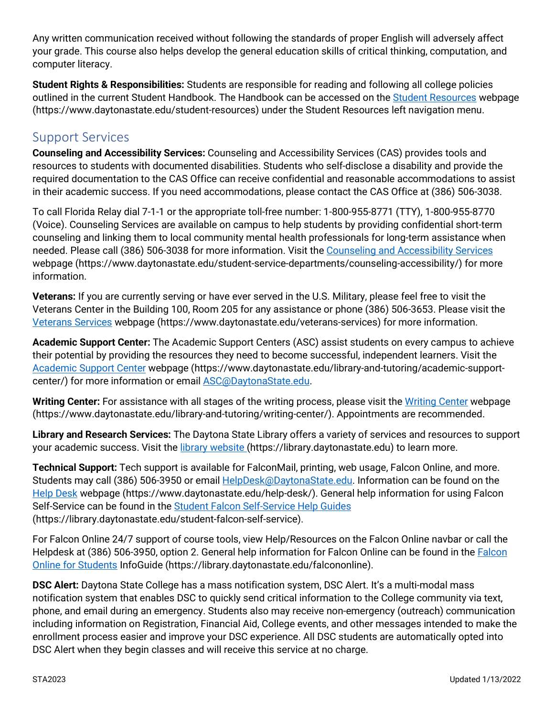Any written communication received without following the standards of proper English will adversely affect your grade. This course also helps develop the general education skills of critical thinking, computation, and computer literacy.

**Student Rights & Responsibilities:** Students are responsible for reading and following all college policies outlined in the current Student Handbook. The Handbook can be accessed on the [Student Resources](https://www.daytonastate.edu/student-resources) webpage (https://www.daytonastate.edu/student-resources) under the Student Resources left navigation menu.

# Support Services

**Counseling and Accessibility Services:** Counseling and Accessibility Services (CAS) provides tools and resources to students with documented disabilities. Students who self-disclose a disability and provide the required documentation to the CAS Office can receive confidential and reasonable accommodations to assist in their academic success. If you need accommodations, please contact the CAS Office at (386) 506-3038.

To call Florida Relay dial 7-1-1 or the appropriate toll-free number: 1-800-955-8771 (TTY), 1-800-955-8770 (Voice). Counseling Services are available on campus to help students by providing confidential short-term counseling and linking them to local community mental health professionals for long-term assistance when needed. Please call (386) 506-3038 for more information. Visit the [Counseling and Accessibility Services](https://www.daytonastate.edu/student-service-departments/counseling-accessibility/) webpage (https://www.daytonastate.edu/student-service-departments/counseling-accessibility/) for more information.

**Veterans:** If you are currently serving or have ever served in the U.S. Military, please feel free to visit the Veterans Center in the Building 100, Room 205 for any assistance or phone (386) 506-3653. Please visit the [Veterans Services](https://www.daytonastate.edu/veterans-services) webpage (https://www.daytonastate.edu/veterans-services) for more information.

**Academic Support Center:** The Academic Support Centers (ASC) assist students on every campus to achieve their potential by providing the resources they need to become successful, independent learners. Visit the [Academic Support Center](https://www.daytonastate.edu/library-and-tutoring/academic-support-center/index.html) webpage (https://www.daytonastate.edu/library-and-tutoring/academic-supportcenter/) for more information or email [ASC@DaytonaState.edu.](mailto:ASC@DaytonaState.edu)

**Writing Center:** For assistance with all stages of the writing process, please visit the [Writing Center](https://www.daytonastate.edu/library-and-tutoring/writing-center/) webpage (https://www.daytonastate.edu/library-and-tutoring/writing-center/). Appointments are recommended.

**Library and Research Services:** The Daytona State Library offers a variety of services and resources to support your academic success. Visit the *library website* (https://library.daytonastate.edu) to learn more.

**Technical Support:** Tech support is available for FalconMail, printing, web usage, Falcon Online, and more. Students may call (386) 506-3950 or email [HelpDesk@DaytonaState.edu.](mailto:HelpDesk@DaytonaState.edu) Information can be found on the [Help Desk](https://www.daytonastate.edu/help-desk/) webpage (https://www.daytonastate.edu/help-desk/). General help information for using Falcon Self-Service can be found in the [Student Falcon Self-Service Help Guides](https://library.daytonastate.edu/student-falcon-self-service) (https://library.daytonastate.edu/student-falcon-self-service).

For Falcon Online 24/7 support of course tools, view Help/Resources on the Falcon Online navbar or call the Helpdesk at (386) 506-3950, option 2. General help information for Falcon Online can be found in the [Falcon](https://library.daytonastate.edu/falcononline)  [Online for Students](https://library.daytonastate.edu/falcononline) InfoGuide (https://library.daytonastate.edu/falcononline).

**DSC Alert:** Daytona State College has a mass notification system, DSC Alert. It's a multi-modal mass notification system that enables DSC to quickly send critical information to the College community via text, phone, and email during an emergency. Students also may receive non-emergency (outreach) communication including information on Registration, Financial Aid, College events, and other messages intended to make the enrollment process easier and improve your DSC experience. All DSC students are automatically opted into DSC Alert when they begin classes and will receive this service at no charge.